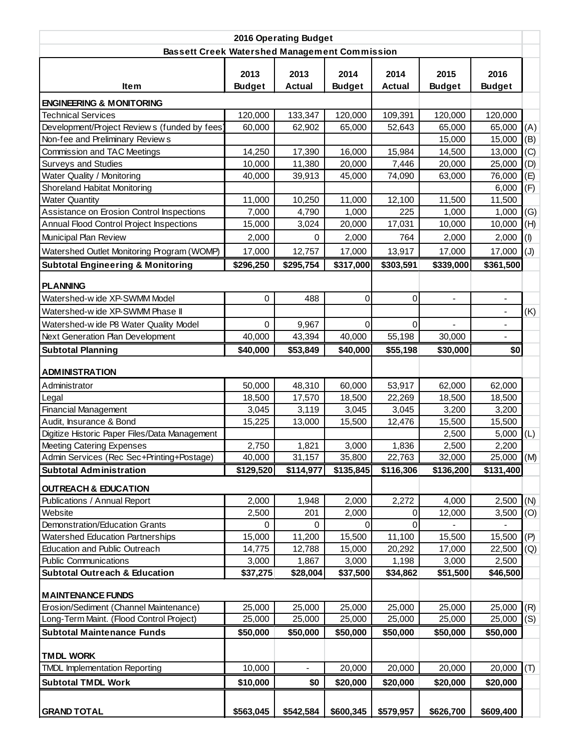| 2016 Operating Budget                                              |                  |                |                  |                  |                  |                          |     |  |  |  |
|--------------------------------------------------------------------|------------------|----------------|------------------|------------------|------------------|--------------------------|-----|--|--|--|
| <b>Bassett Creek Watershed Management Commission</b>               |                  |                |                  |                  |                  |                          |     |  |  |  |
|                                                                    | 2013             | 2013           | 2014             | 2014             | 2015             | 2016                     |     |  |  |  |
| ltem                                                               | <b>Budget</b>    | <b>Actual</b>  | <b>Budget</b>    | <b>Actual</b>    | <b>Budget</b>    | <b>Budget</b>            |     |  |  |  |
| <b>ENGINEERING &amp; MONITORING</b>                                |                  |                |                  |                  |                  |                          |     |  |  |  |
| <b>Technical Services</b>                                          | 120,000          | 133,347        | 120,000          | 109,391          | 120,000          | 120,000                  |     |  |  |  |
| Development/Project Reviews (funded by fees)                       | 60,000           | 62,902         | 65,000           | 52,643           | 65,000           | 65,000                   | (A) |  |  |  |
| Non-fee and Preliminary Reviews                                    |                  |                |                  |                  | 15,000           | 15,000                   | (B) |  |  |  |
| Commission and TAC Meetings                                        | 14,250           | 17,390         | 16,000           | 15,984           | 14,500           | 13,000                   | (C) |  |  |  |
| Surveys and Studies                                                | 10,000           | 11,380         | 20,000           | 7,446            | 20,000           | 25,000                   | (D) |  |  |  |
| Water Quality / Monitoring                                         | 40,000           | 39,913         | 45,000           | 74,090           | 63,000           | 76,000                   | (E) |  |  |  |
| Shoreland Habitat Monitoring                                       |                  |                |                  |                  |                  | 6,000                    | (F) |  |  |  |
| <b>Water Quantity</b>                                              | 11,000           | 10,250         | 11,000           | 12,100           | 11,500           | 11,500                   |     |  |  |  |
| Assistance on Erosion Control Inspections                          | 7,000            | 4,790          | 1,000            | 225              | 1,000            | 1,000                    | (G) |  |  |  |
| Annual Flood Control Project Inspections                           | 15,000           | 3,024          | 20,000           | 17,031           | 10,000           | 10,000                   | (H) |  |  |  |
| Municipal Plan Review                                              | 2,000            | $\mathbf 0$    | 2,000            | 764              | 2,000            | 2,000                    | (1) |  |  |  |
| Watershed Outlet Monitoring Program (WOMP)                         | 17,000           | 12,757         | 17,000           | 13,917           | 17,000           | 17,000                   | (J) |  |  |  |
| <b>Subtotal Engineering &amp; Monitoring</b>                       | \$296,250        | \$295,754      | \$317,000        | \$303,591        | \$339,000        | \$361,500                |     |  |  |  |
|                                                                    |                  |                |                  |                  |                  |                          |     |  |  |  |
| <b>PLANNING</b>                                                    |                  |                |                  |                  |                  |                          |     |  |  |  |
| Watershed-wide XP-SWMM Model                                       | 0                | 488            | $\mathbf 0$      | 0                | $\blacksquare$   | $\overline{\phantom{0}}$ |     |  |  |  |
| Watershed-wide XP-SWMM Phase II                                    |                  |                |                  |                  |                  | $\frac{1}{2}$            | (K) |  |  |  |
| Watershed-wide P8 Water Quality Model                              | $\mathbf 0$      | 9,967          | $\mathbf 0$      | 0                |                  |                          |     |  |  |  |
| Next Generation Plan Development                                   | 40,000           | 43,394         | 40,000           | 55,198           | 30,000           |                          |     |  |  |  |
| <b>Subtotal Planning</b>                                           | \$40,000         | \$53,849       | \$40,000         | \$55,198         | \$30,000         | \$0                      |     |  |  |  |
|                                                                    |                  |                |                  |                  |                  |                          |     |  |  |  |
| <b>ADMINISTRATION</b>                                              |                  |                |                  |                  |                  |                          |     |  |  |  |
| Administrator                                                      | 50,000           | 48,310         | 60,000           | 53,917           | 62,000           | 62,000                   |     |  |  |  |
| Legal                                                              | 18,500           | 17,570         | 18,500           | 22,269           | 18,500           | 18,500                   |     |  |  |  |
| <b>Financial Management</b>                                        | 3,045            | 3,119          | 3,045            | 3,045            | 3,200            | 3,200                    |     |  |  |  |
| Audit, Insurance & Bond                                            | 15,225           | 13,000         | 15,500           | 12,476           | 15,500           | 15,500                   |     |  |  |  |
| Digitize Historic Paper Files/Data Management                      |                  |                |                  |                  | 2,500            | 5,000                    | (L) |  |  |  |
| <b>Meeting Catering Expenses</b>                                   | 2,750            | 1,821          | 3,000            | 1,836            | 2,500            | 2,200                    |     |  |  |  |
| Admin Services (Rec Sec+Printing+Postage)                          | 40,000           | 31,157         | 35,800           | 22,763           | 32,000           | $25,000$ (M)             |     |  |  |  |
| <b>Subtotal Administration</b>                                     | \$129,520        | \$114,977      | \$135,845        | \$116,306        | \$136,200        | \$131,400                |     |  |  |  |
| <b>OUTREACH &amp; EDUCATION</b>                                    |                  |                |                  |                  |                  |                          |     |  |  |  |
| Publications / Annual Report                                       | 2,000            | 1,948          | 2,000            | 2,272            | 4,000            | 2,500                    | (N) |  |  |  |
| Website                                                            | 2,500            | 201            | 2,000            | 0                | 12,000           | 3,500                    | (O) |  |  |  |
| Demonstration/Education Grants                                     | 0                | 0              | 0                | 0                |                  |                          |     |  |  |  |
| <b>Watershed Education Partnerships</b>                            | 15,000           | 11,200         | 15,500           | 11,100           | 15,500           | 15,500                   | (P) |  |  |  |
| Education and Public Outreach                                      | 14,775           | 12,788         | 15,000           | 20,292           | 17,000           | 22,500                   | (Q) |  |  |  |
| <b>Public Communications</b>                                       | 3,000            | 1,867          | 3,000            | 1,198            | 3,000            | 2,500                    |     |  |  |  |
| Subtotal Outreach & Education                                      | \$37,275         | \$28,004       | \$37,500         | \$34,862         | \$51,500         | \$46,500                 |     |  |  |  |
|                                                                    |                  |                |                  |                  |                  |                          |     |  |  |  |
| <b>MAINTENANCE FUNDS</b><br>Erosion/Sediment (Channel Maintenance) |                  | 25,000         |                  |                  |                  | 25,000                   | (R) |  |  |  |
| Long-Term Maint. (Flood Control Project)                           | 25,000<br>25,000 | 25,000         | 25,000<br>25,000 | 25,000<br>25,000 | 25,000<br>25,000 | 25,000                   | (S) |  |  |  |
|                                                                    |                  |                |                  |                  |                  |                          |     |  |  |  |
| <b>Subtotal Maintenance Funds</b>                                  | \$50,000         | \$50,000       | \$50,000         | \$50,000         | \$50,000         | \$50,000                 |     |  |  |  |
| <b>TMDL WORK</b>                                                   |                  |                |                  |                  |                  |                          |     |  |  |  |
| <b>TMDL Implementation Reporting</b>                               | 10,000           | $\blacksquare$ | 20,000           | 20,000           | 20,000           | 20,000                   | (T) |  |  |  |
| <b>Subtotal TMDL Work</b>                                          | \$10,000         | \$0            | \$20,000         | \$20,000         | \$20,000         | \$20,000                 |     |  |  |  |
|                                                                    |                  |                |                  |                  |                  |                          |     |  |  |  |
| <b>GRAND TOTAL</b>                                                 | \$563,045        | \$542,584      | \$600,345        | \$579,957        | \$626,700        | \$609,400                |     |  |  |  |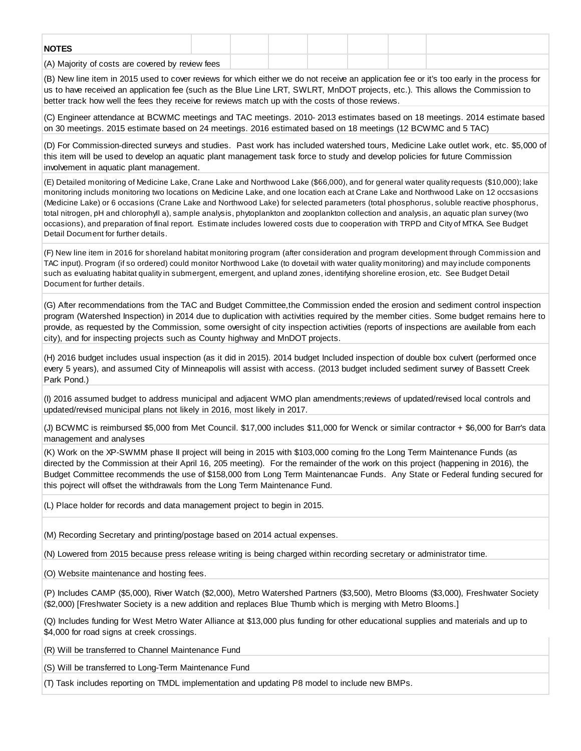| <b>NOTES</b>                                     |  |  |  |  |
|--------------------------------------------------|--|--|--|--|
| (A) Majority of costs are covered by review fees |  |  |  |  |

(B) New line item in 2015 used to cover reviews for which either we do not receive an application fee or it's too early in the process for us to have received an application fee (such as the Blue Line LRT, SWLRT, MnDOT projects, etc.). This allows the Commission to better track how well the fees they receive for reviews match up with the costs of those reviews.

(C) Engineer attendance at BCWMC meetings and TAC meetings. 2010- 2013 estimates based on 18 meetings. 2014 estimate based on 30 meetings. 2015 estimate based on 24 meetings. 2016 estimated based on 18 meetings (12 BCWMC and 5 TAC)

(D) For Commission-directed surveys and studies. Past work has included watershed tours, Medicine Lake outlet work, etc. \$5,000 of this item will be used to develop an aquatic plant management task force to study and develop policies for future Commission involvement in aquatic plant management.

(E) Detailed monitoring of Medicine Lake, Crane Lake and Northwood Lake (\$66,000), and for general water quality requests (\$10,000); lake monitoring includs monitoring two locations on Medicine Lake, and one location each at Crane Lake and Northwood Lake on 12 occsasions (Medicine Lake) or 6 occasions (Crane Lake and Northwood Lake) for selected parameters (total phosphorus, soluble reactive phosphorus, total nitrogen, pH and chlorophyll a), sample analysis, phytoplankton and zooplankton collection and analysis, an aquatic plan survey (two occasions), and preparation of final report. Estimate includes lowered costs due to cooperation with TRPD and City of MTKA. See Budget Detail Document for further details.

(F) New line item in 2016 for shoreland habitat monitoring program (after consideration and program development through Commission and TAC input). Program (if so ordered) could monitor Northwood Lake (to dovetail with water quality monitoring) and may include components such as evaluating habitat quality in submergent, emergent, and upland zones, identifying shoreline erosion, etc. See Budget Detail Document for further details.

(G) After recommendations from the TAC and Budget Committee,the Commission ended the erosion and sediment control inspection program (Watershed Inspection) in 2014 due to duplication with activities required by the member cities. Some budget remains here to provide, as requested by the Commission, some oversight of city inspection activities (reports of inspections are available from each city), and for inspecting projects such as County highway and MnDOT projects.

(H) 2016 budget includes usual inspection (as it did in 2015). 2014 budget Included inspection of double box culvert (performed once every 5 years), and assumed City of Minneapolis will assist with access. (2013 budget included sediment survey of Bassett Creek Park Pond.)

(I) 2016 assumed budget to address municipal and adjacent WMO plan amendments;reviews of updated/revised local controls and updated/revised municipal plans not likely in 2016, most likely in 2017.

(J) BCWMC is reimbursed \$5,000 from Met Council. \$17,000 includes \$11,000 for Wenck or similar contractor + \$6,000 for Barr's data management and analyses

(K) Work on the XP-SWMM phase II project will being in 2015 with \$103,000 coming fro the Long Term Maintenance Funds (as directed by the Commission at their April 16, 205 meeting). For the remainder of the work on this project (happening in 2016), the Budget Committee recommends the use of \$158,000 from Long Term Maintenancae Funds. Any State or Federal funding secured for this pojrect will offset the withdrawals from the Long Term Maintenance Fund.

(L) Place holder for records and data management project to begin in 2015.

(M) Recording Secretary and printing/postage based on 2014 actual expenses.

(N) Lowered from 2015 because press release writing is being charged within recording secretary or administrator time.

(O) Website maintenance and hosting fees.

(P) Includes CAMP (\$5,000), River Watch (\$2,000), Metro Watershed Partners (\$3,500), Metro Blooms (\$3,000), Freshwater Society (\$2,000) [Freshwater Society is a new addition and replaces Blue Thumb which is merging with Metro Blooms.]

(Q) Includes funding for West Metro Water Alliance at \$13,000 plus funding for other educational supplies and materials and up to \$4,000 for road signs at creek crossings.

(R) Will be transferred to Channel Maintenance Fund

(S) Will be transferred to Long-Term Maintenance Fund

(T) Task includes reporting on TMDL implementation and updating P8 model to include new BMPs.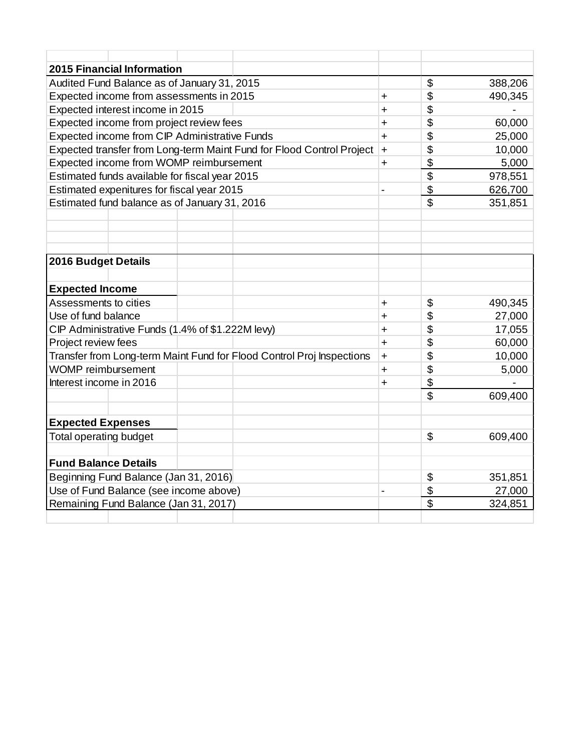| <b>2015 Financial Information</b>                                     |                          |                           |         |
|-----------------------------------------------------------------------|--------------------------|---------------------------|---------|
| Audited Fund Balance as of January 31, 2015                           |                          | $\boldsymbol{\mathsf{S}}$ | 388,206 |
| Expected income from assessments in 2015                              | $\ddot{}$                | \$                        | 490,345 |
| Expected interest income in 2015                                      | $\ddot{}$                | \$                        |         |
| Expected income from project review fees                              | $\ddot{}$                | \$                        | 60,000  |
| Expected income from CIP Administrative Funds                         | $\ddot{}$                | \$                        | 25,000  |
| Expected transfer from Long-term Maint Fund for Flood Control Project | $\ddot{}$                | \$                        | 10,000  |
| Expected income from WOMP reimbursement                               | $\ddot{}$                | \$                        | 5,000   |
| Estimated funds available for fiscal year 2015                        |                          | \$                        | 978,551 |
| Estimated expenitures for fiscal year 2015                            | $\overline{\phantom{0}}$ | \$                        | 626,700 |
| Estimated fund balance as of January 31, 2016                         |                          | $\mathfrak{S}$            | 351,851 |
|                                                                       |                          |                           |         |
|                                                                       |                          |                           |         |
|                                                                       |                          |                           |         |
| <b>2016 Budget Details</b>                                            |                          |                           |         |
|                                                                       |                          |                           |         |
| <b>Expected Income</b>                                                |                          |                           |         |
| Assessments to cities                                                 | $\ddot{}$                | \$                        | 490,345 |
| Use of fund balance                                                   | $\ddot{}$                | \$                        | 27,000  |
| CIP Administrative Funds (1.4% of \$1.222M levy)                      | $\ddot{}$                | \$                        | 17,055  |
| Project review fees                                                   | $\ddot{}$                | \$                        | 60,000  |
| Transfer from Long-term Maint Fund for Flood Control Proj Inspections | $\ddot{}$                | \$                        | 10,000  |
| <b>WOMP</b> reimbursement                                             | $\ddot{}$                | \$                        | 5,000   |
| Interest income in 2016                                               | $\ddot{}$                | \$                        |         |
|                                                                       |                          | \$                        | 609,400 |
|                                                                       |                          |                           |         |
| <b>Expected Expenses</b>                                              |                          |                           |         |
| Total operating budget                                                |                          | $\mathfrak{S}$            | 609,400 |
|                                                                       |                          |                           |         |
| <b>Fund Balance Details</b>                                           |                          |                           |         |
| Beginning Fund Balance (Jan 31, 2016)                                 |                          | \$                        | 351,851 |
| Use of Fund Balance (see income above)                                |                          | \$                        | 27,000  |
| Remaining Fund Balance (Jan 31, 2017)                                 |                          | \$                        | 324,851 |
|                                                                       |                          |                           |         |